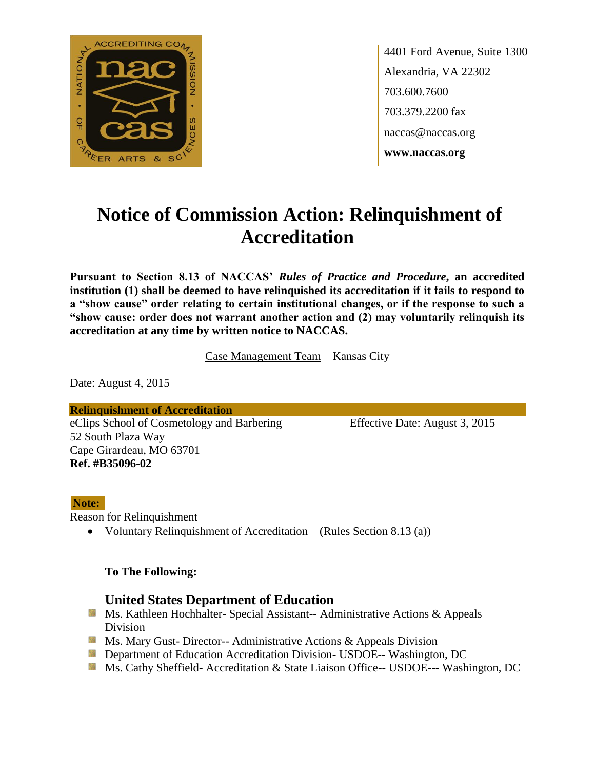

4401 Ford Avenue, Suite 1300 Alexandria, VA 22302 703.600.7600 703.379.2200 fax naccas@naccas.org **www.naccas.org**

# **Notice of Commission Action: Relinquishment of Accreditation**

**Pursuant to Section 8.13 of NACCAS'** *Rules of Practice and Procedure***, an accredited institution (1) shall be deemed to have relinquished its accreditation if it fails to respond to a "show cause" order relating to certain institutional changes, or if the response to such a "show cause: order does not warrant another action and (2) may voluntarily relinquish its accreditation at any time by written notice to NACCAS.**

Case Management Team – Kansas City

Date: August 4, 2015

**Relinquishment of Accreditation** eClips School of Cosmetology and Barbering Effective Date: August 3, 2015 52 South Plaza Way Cape Girardeau, MO 63701 **Ref. #B35096-02**

#### **Note:**

Reason for Relinquishment

• Voluntary Relinquishment of Accreditation – (Rules Section 8.13 (a))

#### **To The Following:**

#### **United States Department of Education**

- **Ms. Kathleen Hochhalter- Special Assistant-- Administrative Actions & Appeals** Division
- **Ms.** Mary Gust- Director-- Administrative Actions  $\&$  Appeals Division
- **Department of Education Accreditation Division- USDOE-- Washington, DC**
- Ms. Cathy Sheffield- Accreditation & State Liaison Office-- USDOE--- Washington, DC